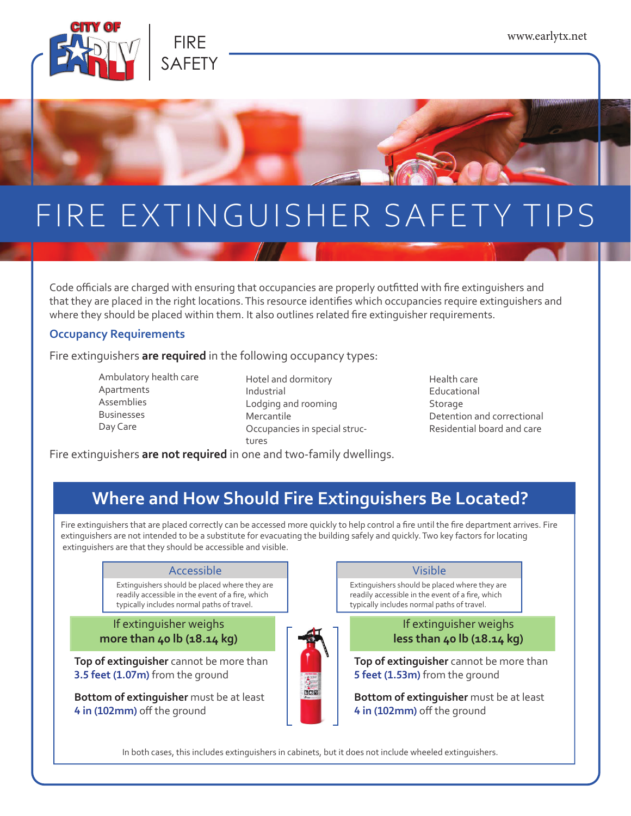

# FIRE EXTINGUISHER SAFETY TIPS

Code officials are charged with ensuring that occupancies are properly outfitted with fire extinguishers and that they are placed in the right locations. This resource identifies which occupancies require extinguishers and where they should be placed within them. It also outlines related fire extinguisher requirements.

#### **Occupancy Requirements**

Fire extinguishers **are required** in the following occupancy types:

- Ambulatory health care Apartments Assemblies Businesses Day Care
- Hotel and dormitory Industrial Lodging and rooming Mercantile Occupancies in special structures
- Health care Educational Storage Detention and correctional Residential board and care

Fire extinguishers **are not required** in one and two-family dwellings.

### **Where and How Should Fire Extinguishers Be Located?**

Fire extinguishers that are placed correctly can be accessed more quickly to help control a fire until the fire department arrives. Fire extinguishers are not intended to be a substitute for evacuating the building safely and quickly. Two key factors for locating extinguishers are that they should be accessible and visible.

#### Accessible **Visible Visible**

Extinguishers should be placed where they are readily accessible in the event of a fire, which typically includes normal paths of travel.

### If extinguisher weighs **more than 40 lb (18.14 kg)**

**Top of extinguisher** cannot be more than **3.5 feet (1.07m)** from the ground

**Bottom of extinguisher** must be at least **4** in (102mm) off the ground



Extinguishers should be placed where they are readily accessible in the event of a fire, which typically includes normal paths of travel.

### If extinguisher weighs **less than 40 lb (18.14 kg)**

**Top of extinguisher** cannot be more than **5 feet (1.53m)** from the ground

**Bottom of extinguisher** must be at least **4** in (102mm) off the ground

In both cases, this includes extinguishers in cabinets, but it does not include wheeled extinguishers.